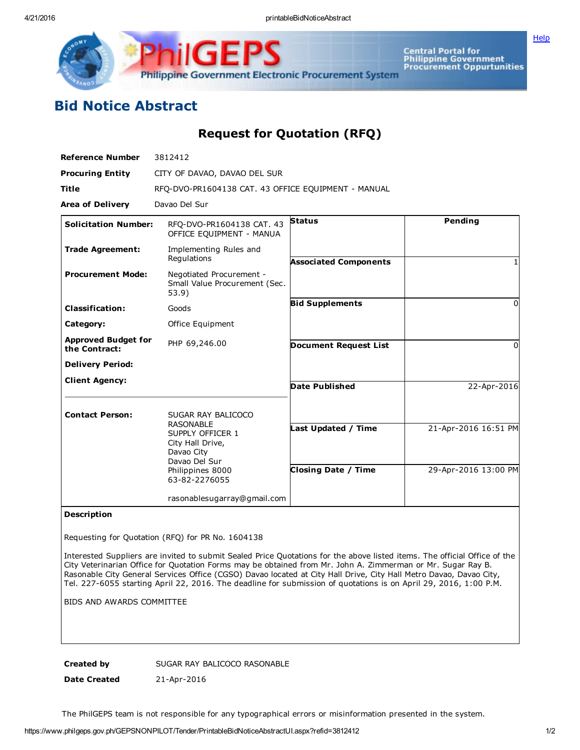**[Help](javascript:void(window.open()** 



Central Portal for<br>Philippine Government<br>Procurement Oppurtunities

## Bid Notice Abstract

Request for Quotation (RFQ)

| <b>Reference Number</b>                     | 3812412                                                                                                                                            |                                                   |                                              |
|---------------------------------------------|----------------------------------------------------------------------------------------------------------------------------------------------------|---------------------------------------------------|----------------------------------------------|
| <b>Procuring Entity</b>                     | CITY OF DAVAO, DAVAO DEL SUR                                                                                                                       |                                                   |                                              |
| <b>Title</b>                                | RFQ-DVO-PR1604138 CAT. 43 OFFICE EQUIPMENT - MANUAL                                                                                                |                                                   |                                              |
| <b>Area of Delivery</b>                     | Davao Del Sur                                                                                                                                      |                                                   |                                              |
| <b>Solicitation Number:</b>                 | RFO-DVO-PR1604138 CAT. 43<br>OFFICE EQUIPMENT - MANUA                                                                                              | <b>Status</b>                                     | Pending                                      |
| <b>Trade Agreement:</b>                     | Implementing Rules and<br>Regulations                                                                                                              | <b>Associated Components</b>                      |                                              |
| <b>Procurement Mode:</b>                    | Negotiated Procurement -<br>Small Value Procurement (Sec.<br>53.9)                                                                                 |                                                   |                                              |
| <b>Classification:</b>                      | Goods                                                                                                                                              | <b>Bid Supplements</b>                            | $\Omega$                                     |
| Category:                                   | Office Equipment                                                                                                                                   |                                                   |                                              |
| <b>Approved Budget for</b><br>the Contract: | PHP 69,246.00                                                                                                                                      | <b>Document Request List</b>                      | 0                                            |
| <b>Delivery Period:</b>                     |                                                                                                                                                    |                                                   |                                              |
| <b>Client Agency:</b>                       |                                                                                                                                                    | <b>Date Published</b>                             | 22-Apr-2016                                  |
| <b>Contact Person:</b>                      | SUGAR RAY BALICOCO<br><b>RASONABLE</b><br>SUPPLY OFFICER 1<br>City Hall Drive,<br>Davao City<br>Davao Del Sur<br>Philippines 8000<br>63-82-2276055 | Last Updated / Time<br><b>Closing Date / Time</b> | 21-Apr-2016 16:51 PM<br>29-Apr-2016 13:00 PM |
|                                             | rasonablesugarray@gmail.com                                                                                                                        |                                                   |                                              |

## Description

Requesting for Quotation (RFQ) for PR No. 1604138

Interested Suppliers are invited to submit Sealed Price Quotations for the above listed items. The official Office of the City Veterinarian Office for Quotation Forms may be obtained from Mr. John A. Zimmerman or Mr. Sugar Ray B. Rasonable City General Services Office (CGSO) Davao located at City Hall Drive, City Hall Metro Davao, Davao City, Tel. 227-6055 starting April 22, 2016. The deadline for submission of quotations is on April 29, 2016, 1:00 P.M.

BIDS AND AWARDS COMMITTEE

Created by SUGAR RAY BALICOCO RASONABLE

Date Created 21-Apr-2016

The PhilGEPS team is not responsible for any typographical errors or misinformation presented in the system.